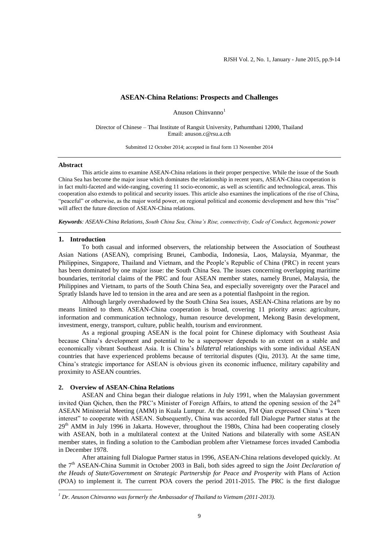## **ASEAN-China Relations: Prospects and Challenges**

Anuson Chinvanno<sup>1</sup>

Director of Chinese – Thai Institute of Rangsit University, Pathumthani 12000, Thailand Email[: anuson.c@rsu.a.cth](mailto:anuson.c@rsu.a.cth)

Submitted 12 October 2014; accepted in final form 13 November 2014

#### **Abstract**

This article aims to examine ASEAN-China relations in their proper perspective. While the issue of the South China Sea has become the major issue which dominates the relationship in recent years, ASEAN-China cooperation is in fact multi-faceted and wide-ranging, covering 11 socio-economic, as well as scientific and technological, areas. This cooperation also extends to political and security issues. This article also examines the implications of the rise of China, "peaceful" or otherwise, as the major world power, on regional political and economic development and how this "rise" will affect the future direction of ASEAN-China relations.

*Keywords: ASEAN-China Relations, South China Sea, China's Rise, connectivity, Code of Conduct, hegemonic power*

## **1. Introduction**

**.** 

To both casual and informed observers, the relationship between the Association of Southeast Asian Nations (ASEAN), comprising Brunei, Cambodia, Indonesia, Laos, Malaysia, Myanmar, the Philippines, Singapore, Thailand and Vietnam, and the People's Republic of China (PRC) in recent years has been dominated by one major issue: the South China Sea. The issues concerning overlapping maritime boundaries, territorial claims of the PRC and four ASEAN member states, namely Brunei, Malaysia, the Philippines and Vietnam, to parts of the South China Sea, and especially sovereignty over the Paracel and Spratly Islands have led to tension in the area and are seen as a potential flashpoint in the region.

Although largely overshadowed by the South China Sea issues, ASEAN-China relations are by no means limited to them. ASEAN-China cooperation is broad, covering 11 priority areas: agriculture, information and communication technology, human resource development, Mekong Basin development, investment, energy, transport, culture, public health, tourism and environment.

As a regional grouping ASEAN is the focal point for Chinese diplomacy with Southeast Asia because China's development and potential to be a superpower depends to an extent on a stable and economically vibrant Southeast Asia. It is China's *bilateral* relationships with some individual ASEAN countries that have experienced problems because of territorial disputes (Qiu, 2013). At the same time, China's strategic importance for ASEAN is obvious given its economic influence, military capability and proximity to ASEAN countries.

## **2. Overview of ASEAN-China Relations**

ASEAN and China began their dialogue relations in July 1991, when the Malaysian government invited Qian Qichen, then the PRC's Minister of Foreign Affairs, to attend the opening session of the  $24<sup>th</sup>$ ASEAN Ministerial Meeting (AMM) in Kuala Lumpur. At the session, FM Qian expressed China's "keen interest" to cooperate with ASEAN. Subsequently, China was accorded full Dialogue Partner status at the  $29<sup>th</sup>$  AMM in July 1996 in Jakarta. However, throughout the 1980s, China had been cooperating closely with ASEAN, both in a multilateral context at the United Nations and bilaterally with some ASEAN member states, in finding a solution to the Cambodian problem after Vietnamese forces invaded Cambodia in December 1978.

After attaining full Dialogue Partner status in 1996, ASEAN-China relations developed quickly. At the 7th ASEAN-China Summit in October 2003 in Bali, both sides agreed to sign the *Joint Declaration of the Heads of State/Government on Strategic Partnership for Peace and Prosperity* with Plans of Action (POA) to implement it. The current POA covers the period 2011-2015. The PRC is the first dialogue

*<sup>1</sup> Dr. Anuson Chinvanno was formerly the Ambassador of Thailand to Vietnam (2011-2013).*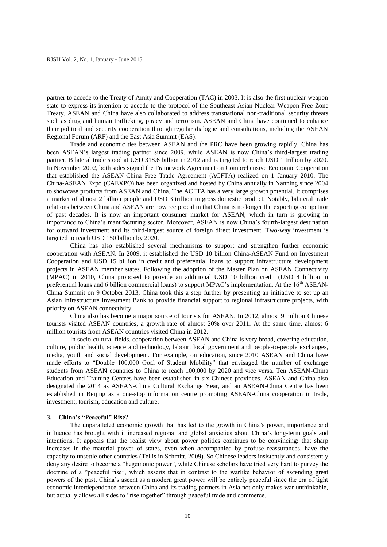partner to accede to the Treaty of Amity and Cooperation (TAC) in 2003. It is also the first nuclear weapon state to express its intention to accede to the protocol of the Southeast Asian Nuclear-Weapon-Free Zone Treaty. ASEAN and China have also collaborated to address transnational non-traditional security threats such as drug and human trafficking, piracy and terrorism. ASEAN and China have continued to enhance their political and security cooperation through regular dialogue and consultations, including the ASEAN Regional Forum (ARF) and the East Asia Summit (EAS).

Trade and economic ties between ASEAN and the PRC have been growing rapidly. China has been ASEAN's largest trading partner since 2009, while ASEAN is now China's third-largest trading partner. Bilateral trade stood at USD 318.6 billion in 2012 and is targeted to reach USD 1 trillion by 2020. In November 2002, both sides signed the Framework Agreement on Comprehensive Economic Cooperation that established the ASEAN-China Free Trade Agreement (ACFTA) realized on 1 January 2010. The China-ASEAN Expo (CAEXPO) has been organized and hosted by China annually in Nanning since 2004 to showcase products from ASEAN and China. The ACFTA has a very large growth potential. It comprises a market of almost 2 billion people and USD 3 trillion in gross domestic product. Notably, bilateral trade relations between China and ASEAN are now reciprocal in that China is no longer the exporting competitor of past decades. It is now an important consumer market for ASEAN, which in turn is growing in importance to China's manufacturing sector. Moreover, ASEAN is now China's fourth-largest destination for outward investment and its third-largest source of foreign direct investment. Two-way investment is targeted to reach USD 150 billion by 2020.

China has also established several mechanisms to support and strengthen further economic cooperation with ASEAN. In 2009, it established the USD 10 billion China-ASEAN Fund on Investment Cooperation and USD 15 billion in credit and preferential loans to support infrastructure development projects in ASEAN member states. Following the adoption of the Master Plan on ASEAN Connectivity (MPAC) in 2010, China proposed to provide an additional USD 10 billion credit (USD 4 billion in preferential loans and 6 billion commercial loans) to support MPAC's implementation. At the  $16<sup>th</sup>$  ASEAN-China Summit on 9 October 2013, China took this a step further by presenting an initiative to set up an Asian Infrastructure Investment Bank to provide financial support to regional infrastructure projects, with priority on ASEAN connectivity.

China also has become a major source of tourists for ASEAN. In 2012, almost 9 million Chinese tourists visited ASEAN countries, a growth rate of almost 20% over 2011. At the same time, almost 6 million tourists from ASEAN countries visited China in 2012.

In socio-cultural fields, cooperation between ASEAN and China is very broad, covering education, culture, public health, science and technology, labour, local government and people-to-people exchanges, media, youth and social development. For example, on education, since 2010 ASEAN and China have made efforts to "Double 100,000 Goal of Student Mobility" that envisaged the number of exchange students from ASEAN countries to China to reach 100,000 by 2020 and vice versa. Ten ASEAN-China Education and Training Centres have been established in six Chinese provinces. ASEAN and China also designated the 2014 as ASEAN-China Cultural Exchange Year, and an ASEAN-China Centre has been established in Beijing as a one-stop information centre promoting ASEAN-China cooperation in trade, investment, tourism, education and culture.

#### **3. China's "Peaceful" Rise?**

The unparalleled economic growth that has led to the growth in China's power, importance and influence has brought with it increased regional and global anxieties about China's long-term goals and intentions. It appears that the realist view about power politics continues to be convincing: that sharp increases in the material power of states, even when accompanied by profuse reassurances, have the capacity to unsettle other countries (Tellis in Schmitt, 2009). So Chinese leaders insistently and consistently deny any desire to become a "hegemonic power", while Chinese scholars have tried very hard to purvey the doctrine of a "peaceful rise", which asserts that in contrast to the warlike behavior of ascending great powers of the past, China's ascent as a modern great power will be entirely peaceful since the era of tight economic interdependence between China and its trading partners in Asia not only makes war unthinkable, but actually allows all sides to "rise together" through peaceful trade and commerce.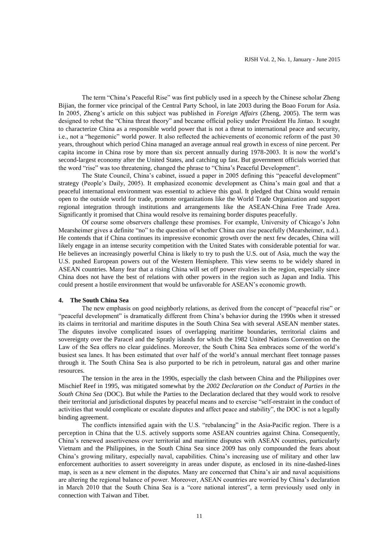The term "China's Peaceful Rise" was first publicly used in a speech by the Chinese scholar Zheng Bijian, the former vice principal of the Central Party School, in late 2003 during the Boao Forum for Asia. In 2005, Zheng's article on this subject was published in *Foreign Affairs* (Zheng, 2005). The term was designed to rebut the "China threat theory" and became official policy under President Hu Jintao. It sought to characterize China as a responsible world power that is not a threat to international peace and security, i.e., not a "hegemonic" world power. It also reflected the achievements of economic reform of the past 30 years, throughout which period China managed an average annual real growth in excess of nine percent. Per capita income in China rose by more than six percent annually during 1978-2003. It is now the world's second-largest economy after the United States, and catching up fast. But government officials worried that the word "rise" was too threatening, changed the phrase to "China's Peaceful Development".

The State Council, China's cabinet, issued a paper in 2005 defining this "peaceful development" strategy (People's Daily, 2005). It emphasized economic development as China's main goal and that a peaceful international environment was essential to achieve this goal. It pledged that China would remain open to the outside world for trade, promote organizations like the World Trade Organization and support regional integration through institutions and arrangements like the ASEAN-China Free Trade Area. Significantly it promised that China would resolve its remaining border disputes peacefully.

Of course some observers challenge these promises. For example, University of Chicago's John Mearsheimer gives a definite "no" to the question of whether China can rise peacefully (Mearsheimer, n.d.). He contends that if China continues its impressive economic growth over the next few decades, China will likely engage in an intense security competition with the United States with considerable potential for war. He believes an increasingly powerful China is likely to try to push the U.S. out of Asia, much the way the U.S. pushed European powers out of the Western Hemisphere. This view seems to be widely shared in ASEAN countries. Many fear that a rising China will set off power rivalries in the region, especially since China does not have the best of relations with other powers in the region such as Japan and India. This could present a hostile environment that would be unfavorable for ASEAN's economic growth.

## **4. The South China Sea**

The new emphasis on good neighborly relations, as derived from the concept of "peaceful rise" or "peaceful development" is dramatically different from China's behavior during the 1990s when it stressed its claims in territorial and maritime disputes in the South China Sea with several ASEAN member states. The disputes involve complicated issues of overlapping maritime boundaries, territorial claims and sovereignty over the Paracel and the Spratly islands for which the 1982 United Nations Convention on the Law of the Sea offers no clear guidelines. Moreover, the South China Sea embraces some of the world's busiest sea lanes. It has been estimated that over half of the world's annual merchant fleet tonnage passes through it. The South China Sea is also purported to be rich in petroleum, natural gas and other marine resources.

The tension in the area in the 1990s, especially the clash between China and the Philippines over Mischief Reef in 1995, was mitigated somewhat by the *2002 Declaration on the Conduct of Parties in the South China Sea* (DOC). But while the Parties to the Declaration declared that they would work to resolve their territorial and jurisdictional disputes by peaceful means and to exercise "self-restraint in the conduct of activities that would complicate or escalate disputes and affect peace and stability", the DOC is not a legally binding agreement.

The conflicts intensified again with the U.S. "rebalancing" in the Asia-Pacific region. There is a perception in China that the U.S. actively supports some ASEAN countries against China. Consequently, China's renewed assertiveness over territorial and maritime disputes with ASEAN countries, particularly Vietnam and the Philippines, in the South China Sea since 2009 has only compounded the fears about China's growing military, especially naval, capabilities. China's increasing use of military and other law enforcement authorities to assert sovereignty in areas under dispute, as enclosed in its nine-dashed-lines map, is seen as a new element in the disputes. Many are concerned that China's air and naval acquisitions are altering the regional balance of power. Moreover, ASEAN countries are worried by China's declaration in March 2010 that the South China Sea is a "core national interest", a term previously used only in connection with Taiwan and Tibet.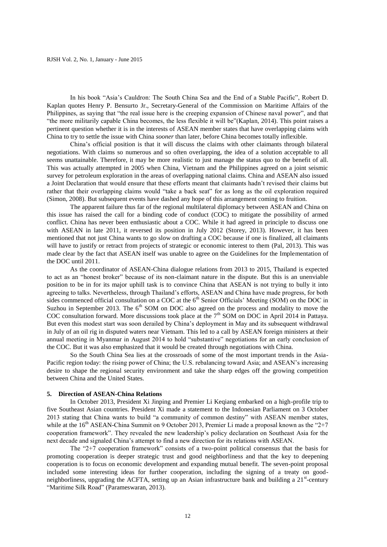In his book "Asia's Cauldron: The South China Sea and the End of a Stable Pacific", Robert D. Kaplan quotes Henry P. Bensurto Jr., Secretary-General of the Commission on Maritime Affairs of the Philippines, as saying that "the real issue here is the creeping expansion of Chinese naval power", and that "the more militarily capable China becomes, the less flexible it will be"(Kaplan, 2014). This point raises a pertinent question whether it is in the interests of ASEAN member states that have overlapping claims with China to try to settle the issue with China *sooner* than later, before China becomes totally inflexible.

China's official position is that it will discuss the claims with other claimants through bilateral negotiations. With claims so numerous and so often overlapping, the idea of a solution acceptable to all seems unattainable. Therefore, it may be more realistic to just manage the status quo to the benefit of all. This was actually attempted in 2005 when China, Vietnam and the Philippines agreed on a joint seismic survey for petroleum exploration in the areas of overlapping national claims. China and ASEAN also issued a Joint Declaration that would ensure that these efforts meant that claimants hadn't revised their claims but rather that their overlapping claims would "take a back seat" for as long as the oil exploration required (Simon, 2008). But subsequent events have dashed any hope of this arrangement coming to fruition.

The apparent failure thus far of the regional multilateral diplomacy between ASEAN and China on this issue has raised the call for a binding code of conduct (COC) to mitigate the possibility of armed conflict. China has never been enthusiastic about a COC. While it had agreed in principle to discuss one with ASEAN in late 2011, it reversed its position in July 2012 (Storey, 2013). However, it has been mentioned that not just China wants to go slow on drafting a COC because if one is finalized, all claimants will have to justify or retract from projects of strategic or economic interest to them (Pal, 2013). This was made clear by the fact that ASEAN itself was unable to agree on the Guidelines for the Implementation of the DOC until 2011.

As the coordinator of ASEAN-China dialogue relations from 2013 to 2015, Thailand is expected to act as an "honest broker" because of its non-claimant nature in the dispute. But this is an unenviable position to be in for its major uphill task is to convince China that ASEAN is not trying to bully it into agreeing to talks. Nevertheless, through Thailand's efforts, ASEAN and China have made progress, for both sides commenced official consultation on a COC at the 6<sup>th</sup> Senior Officials' Meeting (SOM) on the DOC in Suzhou in September 2013. The  $6<sup>th</sup>$  SOM on DOC also agreed on the process and modality to move the COC consultation forward. More discussions took place at the  $7<sup>th</sup>$  SOM on DOC in April 2014 in Pattaya. But even this modest start was soon derailed by China's deployment in May and its subsequent withdrawal in July of an oil rig in disputed waters near Vietnam. This led to a call by ASEAN foreign ministers at their annual meeting in Myanmar in August 2014 to hold "substantive" negotiations for an early conclusion of the COC. But it was also emphasized that it would be created through negotiations with China.

So the South China Sea lies at the crossroads of some of the most important trends in the Asia-Pacific region today: the rising power of China; the U.S. rebalancing toward Asia; and ASEAN's increasing desire to shape the regional security environment and take the sharp edges off the growing competition between China and the United States.

## **5. Direction of ASEAN-China Relations**

In October 2013, President Xi Jinping and Premier Li Keqiang embarked on a high-profile trip to five Southeast Asian countries. President Xi made a statement to the Indonesian Parliament on 3 October 2013 stating that China wants to build "a community of common destiny" with ASEAN member states, while at the  $16<sup>th</sup>$  ASEAN-China Summit on 9 October 2013, Premier Li made a proposal known as the "2+7" cooperation framework". They revealed the new leadership's policy declaration on Southeast Asia for the next decade and signaled China's attempt to find a new direction for its relations with ASEAN.

The "2+7 cooperation framework" consists of a two-point political consensus that the basis for promoting cooperation is deeper strategic trust and good neighborliness and that the key to deepening cooperation is to focus on economic development and expanding mutual benefit. The seven-point proposal included some interesting ideas for further cooperation, including the signing of a treaty on goodneighborliness, upgrading the ACFTA, setting up an Asian infrastructure bank and building a 21<sup>st</sup>-century "Maritime Silk Road" (Parameswaran, 2013).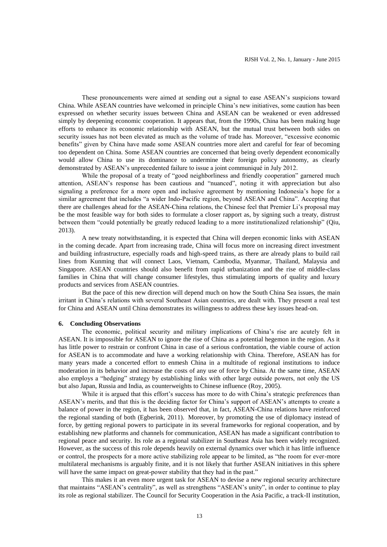These pronouncements were aimed at sending out a signal to ease ASEAN's suspicions toward China. While ASEAN countries have welcomed in principle China's new initiatives, some caution has been expressed on whether security issues between China and ASEAN can be weakened or even addressed simply by deepening economic cooperation. It appears that, from the 1990s, China has been making huge efforts to enhance its economic relationship with ASEAN, but the mutual trust between both sides on security issues has not been elevated as much as the volume of trade has. Moreover, "excessive economic benefits" given by China have made some ASEAN countries more alert and careful for fear of becoming too dependent on China. Some ASEAN countries are concerned that being overly dependent economically would allow China to use its dominance to undermine their foreign policy autonomy, as clearly demonstrated by ASEAN's unprecedented failure to issue a joint communiqué in July 2012.

While the proposal of a treaty of "good neighborliness and friendly cooperation" garnered much attention, ASEAN's response has been cautious and "nuanced", noting it with appreciation but also signaling a preference for a more open and inclusive agreement by mentioning Indonesia's hope for a similar agreement that includes "a wider Indo-Pacific region, beyond ASEAN and China". Accepting that there are challenges ahead for the ASEAN-China relations, the Chinese feel that Premier Li's proposal may be the most feasible way for both sides to formulate a closer rapport as, by signing such a treaty, distrust between them "could potentially be greatly reduced leading to a more institutionalized relationship" (Qiu, 2013).

A new treaty notwithstanding, it is expected that China will deepen economic links with ASEAN in the coming decade. Apart from increasing trade, China will focus more on increasing direct investment and building infrastructure, especially roads and high-speed trains, as there are already plans to build rail lines from Kunming that will connect Laos, Vietnam, Cambodia, Myanmar, Thailand, Malaysia and Singapore. ASEAN countries should also benefit from rapid urbanization and the rise of middle-class families in China that will change consumer lifestyles, thus stimulating imports of quality and luxury products and services from ASEAN countries.

But the pace of this new direction will depend much on how the South China Sea issues, the main irritant in China's relations with several Southeast Asian countries, are dealt with. They present a real test for China and ASEAN until China demonstrates its willingness to address these key issues head-on.

# **6. Concluding Observations**

The economic, political security and military implications of China's rise are acutely felt in ASEAN. It is impossible for ASEAN to ignore the rise of China as a potential hegemon in the region. As it has little power to restrain or confront China in case of a serious confrontation, the viable course of action for ASEAN is to accommodate and have a working relationship with China. Therefore, ASEAN has for many years made a concerted effort to enmesh China in a multitude of regional institutions to induce moderation in its behavior and increase the costs of any use of force by China. At the same time, ASEAN also employs a "hedging" strategy by establishing links with other large outside powers, not only the US but also Japan, Russia and India, as counterweights to Chinese influence (Roy, 2005).

While it is argued that this effort's success has more to do with China's strategic preferences than ASEAN's merits, and that this is the deciding factor for China's support of ASEAN's attempts to create a balance of power in the region, it has been observed that, in fact, ASEAN-China relations have reinforced the regional standing of both (Egberink, 2011). Moreover, by promoting the use of diplomacy instead of force, by getting regional powers to participate in its several frameworks for regional cooperation, and by establishing new platforms and channels for communication, ASEAN has made a significant contribution to regional peace and security. Its role as a regional stabilizer in Southeast Asia has been widely recognized. However, as the success of this role depends heavily on external dynamics over which it has little influence or control, the prospects for a more active stabilizing role appear to be limited, as "the room for ever-more multilateral mechanisms is arguably finite, and it is not likely that further ASEAN initiatives in this sphere will have the same impact on great-power stability that they had in the past."

This makes it an even more urgent task for ASEAN to devise a new regional security architecture that maintains "ASEAN's centrality", as well as strengthens "ASEAN's unity", in order to continue to play its role as regional stabilizer. The Council for Security Cooperation in the Asia Pacific, a track-II institution,